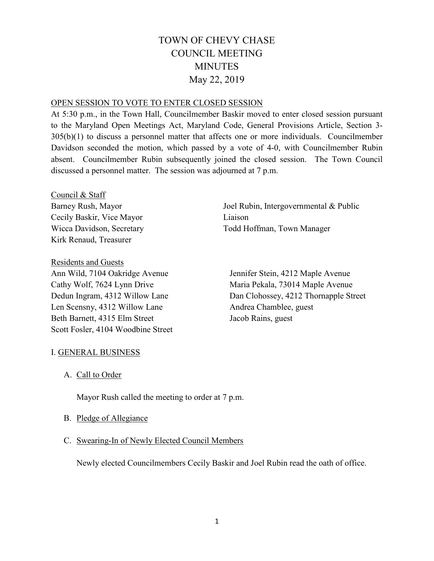# TOWN OF CHEVY CHASE COUNCIL MEETING **MINUTES** May 22, 2019

## OPEN SESSION TO VOTE TO ENTER CLOSED SESSION

At 5:30 p.m., in the Town Hall, Councilmember Baskir moved to enter closed session pursuant to the Maryland Open Meetings Act, Maryland Code, General Provisions Article, Section 3- 305(b)(1) to discuss a personnel matter that affects one or more individuals. Councilmember Davidson seconded the motion, which passed by a vote of 4-0, with Councilmember Rubin absent. Councilmember Rubin subsequently joined the closed session. The Town Council discussed a personnel matter. The session was adjourned at 7 p.m.

Council & Staff Barney Rush, Mayor Cecily Baskir, Vice Mayor Wicca Davidson, Secretary Kirk Renaud, Treasurer

Residents and Guests Ann Wild, 7104 Oakridge Avenue Cathy Wolf, 7624 Lynn Drive Dedun Ingram, 4312 Willow Lane Len Scensny, 4312 Willow Lane Beth Barnett, 4315 Elm Street Scott Fosler, 4104 Woodbine Street Joel Rubin, Intergovernmental & Public Liaison Todd Hoffman, Town Manager

Jennifer Stein, 4212 Maple Avenue Maria Pekala, 73014 Maple Avenue Dan Clohossey, 4212 Thornapple Street Andrea Chamblee, guest Jacob Rains, guest

# I. GENERAL BUSINESS

A. Call to Order

Mayor Rush called the meeting to order at 7 p.m.

- B. Pledge of Allegiance
- C. Swearing-In of Newly Elected Council Members

Newly elected Councilmembers Cecily Baskir and Joel Rubin read the oath of office.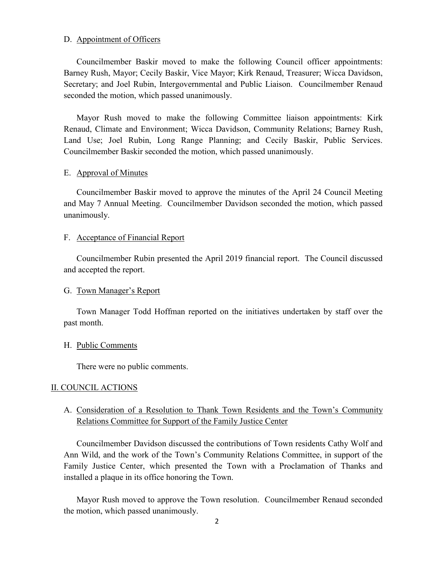#### D. Appointment of Officers

Councilmember Baskir moved to make the following Council officer appointments: Barney Rush, Mayor; Cecily Baskir, Vice Mayor; Kirk Renaud, Treasurer; Wicca Davidson, Secretary; and Joel Rubin, Intergovernmental and Public Liaison. Councilmember Renaud seconded the motion, which passed unanimously.

Mayor Rush moved to make the following Committee liaison appointments: Kirk Renaud, Climate and Environment; Wicca Davidson, Community Relations; Barney Rush, Land Use; Joel Rubin, Long Range Planning; and Cecily Baskir, Public Services. Councilmember Baskir seconded the motion, which passed unanimously.

#### E. Approval of Minutes

Councilmember Baskir moved to approve the minutes of the April 24 Council Meeting and May 7 Annual Meeting. Councilmember Davidson seconded the motion, which passed unanimously.

#### F. Acceptance of Financial Report

Councilmember Rubin presented the April 2019 financial report. The Council discussed and accepted the report.

## G. Town Manager's Report

Town Manager Todd Hoffman reported on the initiatives undertaken by staff over the past month.

## H. Public Comments

There were no public comments.

## II. COUNCIL ACTIONS

# A. Consideration of a Resolution to Thank Town Residents and the Town's Community Relations Committee for Support of the Family Justice Center

Councilmember Davidson discussed the contributions of Town residents Cathy Wolf and Ann Wild, and the work of the Town's Community Relations Committee, in support of the Family Justice Center, which presented the Town with a Proclamation of Thanks and installed a plaque in its office honoring the Town.

Mayor Rush moved to approve the Town resolution. Councilmember Renaud seconded the motion, which passed unanimously.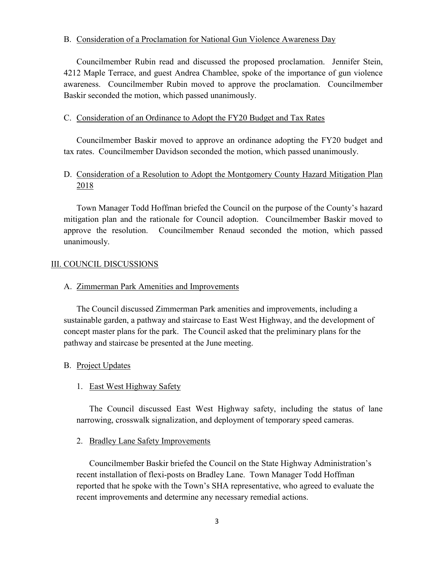## B. Consideration of a Proclamation for National Gun Violence Awareness Day

Councilmember Rubin read and discussed the proposed proclamation. Jennifer Stein, 4212 Maple Terrace, and guest Andrea Chamblee, spoke of the importance of gun violence awareness. Councilmember Rubin moved to approve the proclamation. Councilmember Baskir seconded the motion, which passed unanimously.

## C. Consideration of an Ordinance to Adopt the FY20 Budget and Tax Rates

Councilmember Baskir moved to approve an ordinance adopting the FY20 budget and tax rates. Councilmember Davidson seconded the motion, which passed unanimously.

# D. Consideration of a Resolution to Adopt the Montgomery County Hazard Mitigation Plan 2018

Town Manager Todd Hoffman briefed the Council on the purpose of the County's hazard mitigation plan and the rationale for Council adoption. Councilmember Baskir moved to approve the resolution. Councilmember Renaud seconded the motion, which passed unanimously.

# III. COUNCIL DISCUSSIONS

## A. Zimmerman Park Amenities and Improvements

The Council discussed Zimmerman Park amenities and improvements, including a sustainable garden, a pathway and staircase to East West Highway, and the development of concept master plans for the park. The Council asked that the preliminary plans for the pathway and staircase be presented at the June meeting.

## B. Project Updates

# 1. East West Highway Safety

The Council discussed East West Highway safety, including the status of lane narrowing, crosswalk signalization, and deployment of temporary speed cameras.

## 2. Bradley Lane Safety Improvements

Councilmember Baskir briefed the Council on the State Highway Administration's recent installation of flexi-posts on Bradley Lane. Town Manager Todd Hoffman reported that he spoke with the Town's SHA representative, who agreed to evaluate the recent improvements and determine any necessary remedial actions.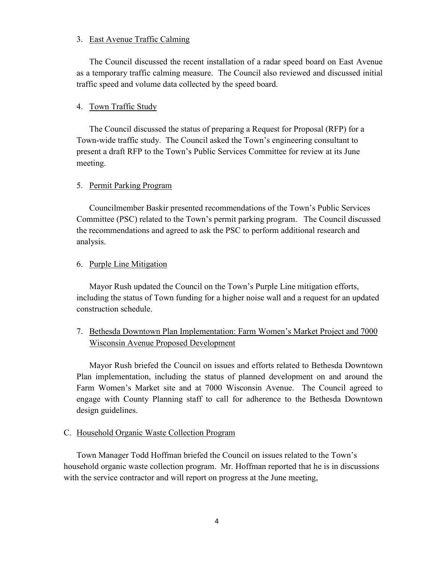#### 3. East Avenue Traffic Calming

The Council discussed the recent installation of a radar speed board on East Avenue as a temporary traffic calming measure. The Council also reviewed and discussed initial traffic speed and volume data collected by the speed board.

#### 4. Town Traffic Study

The Council discussed the status of preparing a Request for Proposal (RFP) for a Town-wide traffic study. The Council asked the Town's engineering consultant to present a draft RFP to the Town's Public Services Committee for review at its June meeting.

#### 5. Permit Parking Program

Councilmember Baskir presented recommendations of the Town's Public Services Committee (PSC) related to the Town's permit parking program. The Council discussed the recommendations and agreed to ask the PSC to perform additional research and analysis.

#### 6. Purple Line Mitigation

Mayor Rush updated the Council on the Town's Purple Line mitigation efforts, including the status of Town funding for a higher noise wall and a request for an updated construction schedule.

# 7. Bethesda Downtown Plan Implementation: Farm Women's Market Project and 7000 Wisconsin Avenue Proposed Development

Mayor Rush briefed the Council on issues and efforts related to Bethesda Downtown Plan implementation, including the status of planned development on and around the Farm Women's Market site and at 7000 Wisconsin Avenue. The Council agreed to engage with County Planning staff to call for adherence to the Bethesda Downtown design guidelines.

#### C. Household Organic Waste Collection Program

Town Manager Todd Hoffman briefed the Council on issues related to the Town's household organic waste collection program. Mr. Hoffman reported that he is in discussions with the service contractor and will report on progress at the June meeting,